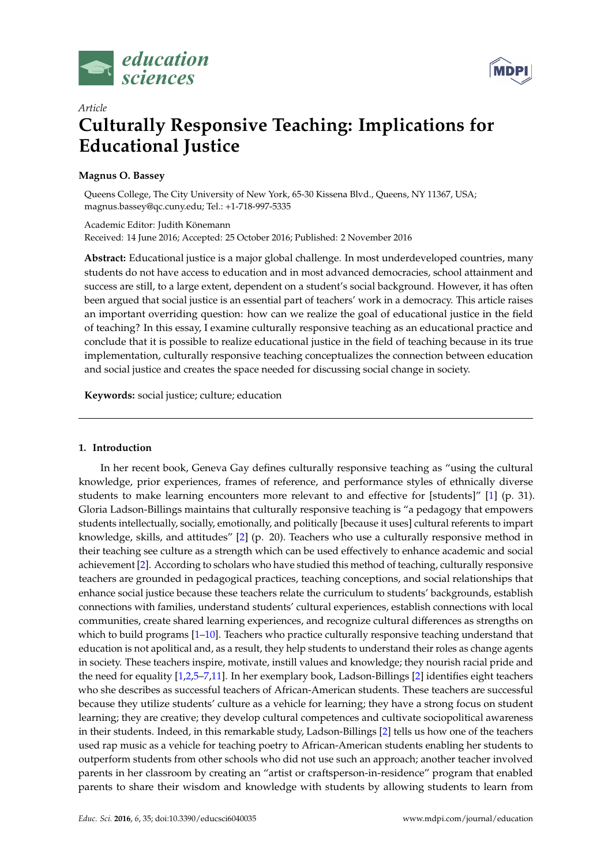



# *Article* **Culturally Responsive Teaching: Implications for Educational Justice**

## **Magnus O. Bassey**

Queens College, The City University of New York, 65-30 Kissena Blvd., Queens, NY 11367, USA; magnus.bassey@qc.cuny.edu; Tel.: +1-718-997-5335

Academic Editor: Judith Könemann Received: 14 June 2016; Accepted: 25 October 2016; Published: 2 November 2016

**Abstract:** Educational justice is a major global challenge. In most underdeveloped countries, many students do not have access to education and in most advanced democracies, school attainment and success are still, to a large extent, dependent on a student's social background. However, it has often been argued that social justice is an essential part of teachers' work in a democracy. This article raises an important overriding question: how can we realize the goal of educational justice in the field of teaching? In this essay, I examine culturally responsive teaching as an educational practice and conclude that it is possible to realize educational justice in the field of teaching because in its true implementation, culturally responsive teaching conceptualizes the connection between education and social justice and creates the space needed for discussing social change in society.

**Keywords:** social justice; culture; education

### **1. Introduction**

In her recent book, Geneva Gay defines culturally responsive teaching as "using the cultural knowledge, prior experiences, frames of reference, and performance styles of ethnically diverse students to make learning encounters more relevant to and effective for [students]" [\[1\]](#page-4-0) (p. 31). Gloria Ladson-Billings maintains that culturally responsive teaching is "a pedagogy that empowers students intellectually, socially, emotionally, and politically [because it uses] cultural referents to impart knowledge, skills, and attitudes" [\[2\]](#page-4-1) (p. 20). Teachers who use a culturally responsive method in their teaching see culture as a strength which can be used effectively to enhance academic and social achievement [\[2\]](#page-4-1). According to scholars who have studied this method of teaching, culturally responsive teachers are grounded in pedagogical practices, teaching conceptions, and social relationships that enhance social justice because these teachers relate the curriculum to students' backgrounds, establish connections with families, understand students' cultural experiences, establish connections with local communities, create shared learning experiences, and recognize cultural differences as strengths on which to build programs  $[1-10]$  $[1-10]$ . Teachers who practice culturally responsive teaching understand that education is not apolitical and, as a result, they help students to understand their roles as change agents in society. These teachers inspire, motivate, instill values and knowledge; they nourish racial pride and the need for equality [\[1](#page-4-0)[,2](#page-4-1)[,5](#page-4-3)[–7](#page-4-4)[,11\]](#page-4-5). In her exemplary book, Ladson-Billings [\[2\]](#page-4-1) identifies eight teachers who she describes as successful teachers of African-American students. These teachers are successful because they utilize students' culture as a vehicle for learning; they have a strong focus on student learning; they are creative; they develop cultural competences and cultivate sociopolitical awareness in their students. Indeed, in this remarkable study, Ladson-Billings [\[2\]](#page-4-1) tells us how one of the teachers used rap music as a vehicle for teaching poetry to African-American students enabling her students to outperform students from other schools who did not use such an approach; another teacher involved parents in her classroom by creating an "artist or craftsperson-in-residence" program that enabled parents to share their wisdom and knowledge with students by allowing students to learn from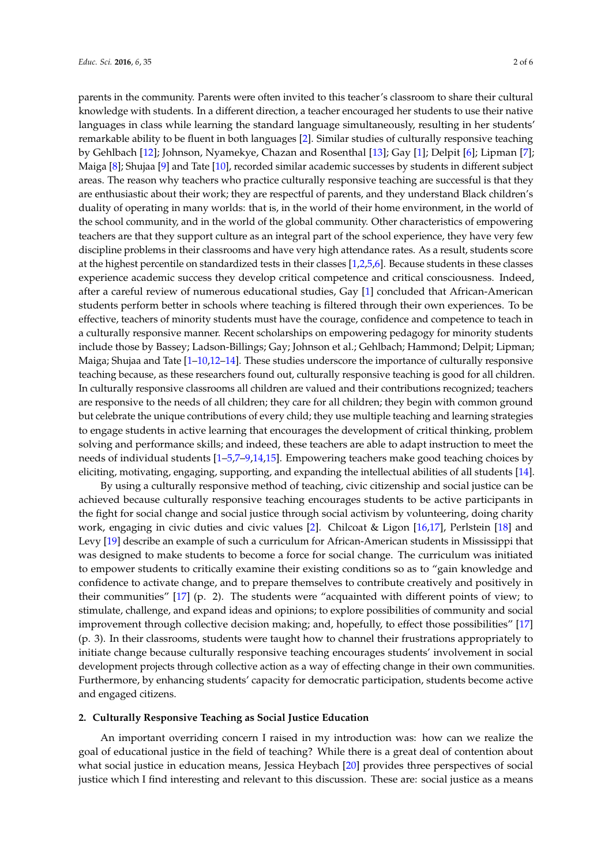parents in the community. Parents were often invited to this teacher's classroom to share their cultural knowledge with students. In a different direction, a teacher encouraged her students to use their native languages in class while learning the standard language simultaneously, resulting in her students' remarkable ability to be fluent in both languages [\[2\]](#page-4-1). Similar studies of culturally responsive teaching by Gehlbach [\[12\]](#page-4-6); Johnson, Nyamekye, Chazan and Rosenthal [\[13\]](#page-4-7); Gay [\[1\]](#page-4-0); Delpit [\[6\]](#page-4-8); Lipman [\[7\]](#page-4-4); Maiga [\[8\]](#page-4-9); Shujaa [\[9\]](#page-4-10) and Tate [\[10\]](#page-4-2), recorded similar academic successes by students in different subject areas. The reason why teachers who practice culturally responsive teaching are successful is that they are enthusiastic about their work; they are respectful of parents, and they understand Black children's duality of operating in many worlds: that is, in the world of their home environment, in the world of the school community, and in the world of the global community. Other characteristics of empowering teachers are that they support culture as an integral part of the school experience, they have very few discipline problems in their classrooms and have very high attendance rates. As a result, students score at the highest percentile on standardized tests in their classes [\[1,](#page-4-0)[2](#page-4-1)[,5](#page-4-3)[,6\]](#page-4-8). Because students in these classes experience academic success they develop critical competence and critical consciousness. Indeed, after a careful review of numerous educational studies, Gay [\[1\]](#page-4-0) concluded that African-American students perform better in schools where teaching is filtered through their own experiences. To be effective, teachers of minority students must have the courage, confidence and competence to teach in a culturally responsive manner. Recent scholarships on empowering pedagogy for minority students include those by Bassey; Ladson-Billings; Gay; Johnson et al.; Gehlbach; Hammond; Delpit; Lipman; Maiga; Shujaa and Tate [\[1](#page-4-0)[–10](#page-4-2)[,12](#page-4-6)[–14\]](#page-4-11). These studies underscore the importance of culturally responsive teaching because, as these researchers found out, culturally responsive teaching is good for all children. In culturally responsive classrooms all children are valued and their contributions recognized; teachers are responsive to the needs of all children; they care for all children; they begin with common ground but celebrate the unique contributions of every child; they use multiple teaching and learning strategies to engage students in active learning that encourages the development of critical thinking, problem solving and performance skills; and indeed, these teachers are able to adapt instruction to meet the needs of individual students [\[1](#page-4-0)[–5,](#page-4-3)[7–](#page-4-4)[9,](#page-4-10)[14,](#page-4-11)[15\]](#page-4-12). Empowering teachers make good teaching choices by eliciting, motivating, engaging, supporting, and expanding the intellectual abilities of all students [\[14\]](#page-4-11).

By using a culturally responsive method of teaching, civic citizenship and social justice can be achieved because culturally responsive teaching encourages students to be active participants in the fight for social change and social justice through social activism by volunteering, doing charity work, engaging in civic duties and civic values [\[2\]](#page-4-1). Chilcoat & Ligon [\[16,](#page-4-13)[17\]](#page-5-0), Perlstein [\[18\]](#page-5-1) and Levy [\[19\]](#page-5-2) describe an example of such a curriculum for African-American students in Mississippi that was designed to make students to become a force for social change. The curriculum was initiated to empower students to critically examine their existing conditions so as to "gain knowledge and confidence to activate change, and to prepare themselves to contribute creatively and positively in their communities" [\[17\]](#page-5-0) (p. 2). The students were "acquainted with different points of view; to stimulate, challenge, and expand ideas and opinions; to explore possibilities of community and social improvement through collective decision making; and, hopefully, to effect those possibilities" [\[17\]](#page-5-0) (p. 3). In their classrooms, students were taught how to channel their frustrations appropriately to initiate change because culturally responsive teaching encourages students' involvement in social development projects through collective action as a way of effecting change in their own communities. Furthermore, by enhancing students' capacity for democratic participation, students become active and engaged citizens.

### **2. Culturally Responsive Teaching as Social Justice Education**

An important overriding concern I raised in my introduction was: how can we realize the goal of educational justice in the field of teaching? While there is a great deal of contention about what social justice in education means, Jessica Heybach [\[20\]](#page-5-3) provides three perspectives of social justice which I find interesting and relevant to this discussion. These are: social justice as a means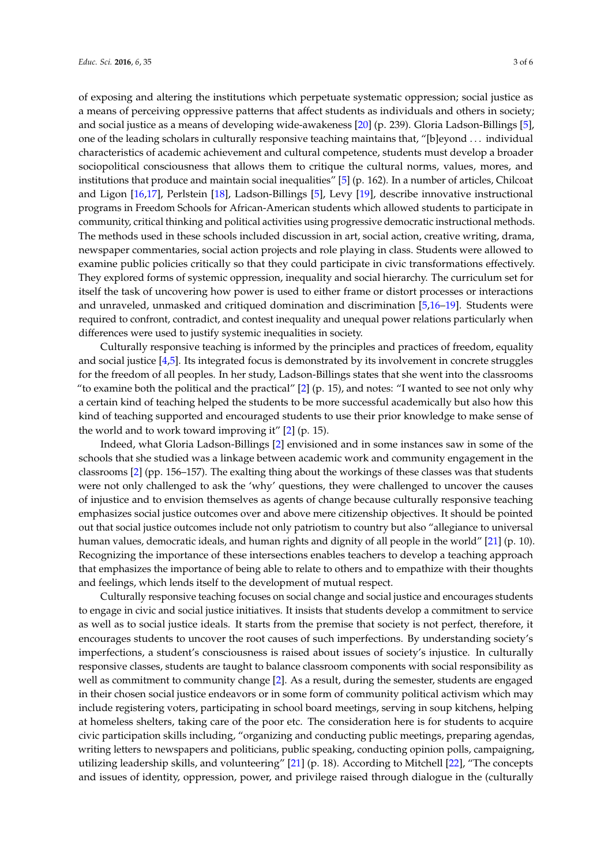of exposing and altering the institutions which perpetuate systematic oppression; social justice as a means of perceiving oppressive patterns that affect students as individuals and others in society; and social justice as a means of developing wide-awakeness [\[20\]](#page-5-3) (p. 239). Gloria Ladson-Billings [\[5\]](#page-4-3), one of the leading scholars in culturally responsive teaching maintains that, "[b]eyond . . . individual characteristics of academic achievement and cultural competence, students must develop a broader sociopolitical consciousness that allows them to critique the cultural norms, values, mores, and institutions that produce and maintain social inequalities" [\[5\]](#page-4-3) (p. 162). In a number of articles, Chilcoat and Ligon [\[16](#page-4-13)[,17\]](#page-5-0), Perlstein [\[18\]](#page-5-1), Ladson-Billings [\[5\]](#page-4-3), Levy [\[19\]](#page-5-2), describe innovative instructional programs in Freedom Schools for African-American students which allowed students to participate in community, critical thinking and political activities using progressive democratic instructional methods. The methods used in these schools included discussion in art, social action, creative writing, drama, newspaper commentaries, social action projects and role playing in class. Students were allowed to examine public policies critically so that they could participate in civic transformations effectively. They explored forms of systemic oppression, inequality and social hierarchy. The curriculum set for itself the task of uncovering how power is used to either frame or distort processes or interactions and unraveled, unmasked and critiqued domination and discrimination [\[5](#page-4-3)[,16](#page-4-13)[–19\]](#page-5-2). Students were required to confront, contradict, and contest inequality and unequal power relations particularly when differences were used to justify systemic inequalities in society.

Culturally responsive teaching is informed by the principles and practices of freedom, equality and social justice [\[4](#page-4-14)[,5\]](#page-4-3). Its integrated focus is demonstrated by its involvement in concrete struggles for the freedom of all peoples. In her study, Ladson-Billings states that she went into the classrooms "to examine both the political and the practical" [\[2\]](#page-4-1) (p. 15), and notes: "I wanted to see not only why a certain kind of teaching helped the students to be more successful academically but also how this kind of teaching supported and encouraged students to use their prior knowledge to make sense of the world and to work toward improving it" [\[2\]](#page-4-1) (p. 15).

Indeed, what Gloria Ladson-Billings [\[2\]](#page-4-1) envisioned and in some instances saw in some of the schools that she studied was a linkage between academic work and community engagement in the classrooms [\[2\]](#page-4-1) (pp. 156–157). The exalting thing about the workings of these classes was that students were not only challenged to ask the 'why' questions, they were challenged to uncover the causes of injustice and to envision themselves as agents of change because culturally responsive teaching emphasizes social justice outcomes over and above mere citizenship objectives. It should be pointed out that social justice outcomes include not only patriotism to country but also "allegiance to universal human values, democratic ideals, and human rights and dignity of all people in the world" [\[21\]](#page-5-4) (p. 10). Recognizing the importance of these intersections enables teachers to develop a teaching approach that emphasizes the importance of being able to relate to others and to empathize with their thoughts and feelings, which lends itself to the development of mutual respect.

Culturally responsive teaching focuses on social change and social justice and encourages students to engage in civic and social justice initiatives. It insists that students develop a commitment to service as well as to social justice ideals. It starts from the premise that society is not perfect, therefore, it encourages students to uncover the root causes of such imperfections. By understanding society's imperfections, a student's consciousness is raised about issues of society's injustice. In culturally responsive classes, students are taught to balance classroom components with social responsibility as well as commitment to community change [\[2\]](#page-4-1). As a result, during the semester, students are engaged in their chosen social justice endeavors or in some form of community political activism which may include registering voters, participating in school board meetings, serving in soup kitchens, helping at homeless shelters, taking care of the poor etc. The consideration here is for students to acquire civic participation skills including, "organizing and conducting public meetings, preparing agendas, writing letters to newspapers and politicians, public speaking, conducting opinion polls, campaigning, utilizing leadership skills, and volunteering" [\[21\]](#page-5-4) (p. 18). According to Mitchell [\[22\]](#page-5-5), "The concepts and issues of identity, oppression, power, and privilege raised through dialogue in the (culturally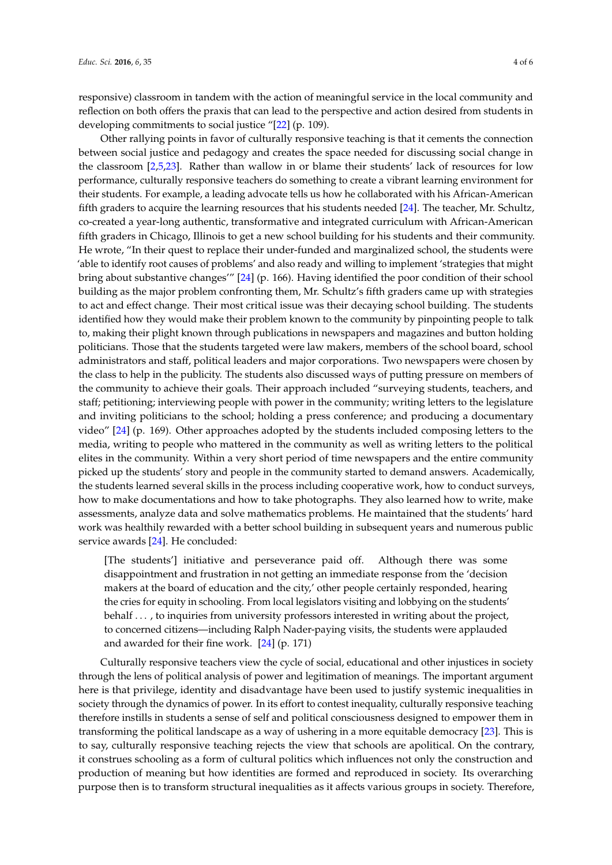responsive) classroom in tandem with the action of meaningful service in the local community and reflection on both offers the praxis that can lead to the perspective and action desired from students in developing commitments to social justice "[\[22\]](#page-5-5) (p. 109).

Other rallying points in favor of culturally responsive teaching is that it cements the connection between social justice and pedagogy and creates the space needed for discussing social change in the classroom [\[2](#page-4-1)[,5](#page-4-3)[,23\]](#page-5-6). Rather than wallow in or blame their students' lack of resources for low performance, culturally responsive teachers do something to create a vibrant learning environment for their students. For example, a leading advocate tells us how he collaborated with his African-American fifth graders to acquire the learning resources that his students needed [\[24\]](#page-5-7). The teacher, Mr. Schultz, co-created a year-long authentic, transformative and integrated curriculum with African-American fifth graders in Chicago, Illinois to get a new school building for his students and their community. He wrote, "In their quest to replace their under-funded and marginalized school, the students were 'able to identify root causes of problems' and also ready and willing to implement 'strategies that might bring about substantive changes'" [\[24\]](#page-5-7) (p. 166). Having identified the poor condition of their school building as the major problem confronting them, Mr. Schultz's fifth graders came up with strategies to act and effect change. Their most critical issue was their decaying school building. The students identified how they would make their problem known to the community by pinpointing people to talk to, making their plight known through publications in newspapers and magazines and button holding politicians. Those that the students targeted were law makers, members of the school board, school administrators and staff, political leaders and major corporations. Two newspapers were chosen by the class to help in the publicity. The students also discussed ways of putting pressure on members of the community to achieve their goals. Their approach included "surveying students, teachers, and staff; petitioning; interviewing people with power in the community; writing letters to the legislature and inviting politicians to the school; holding a press conference; and producing a documentary video" [\[24\]](#page-5-7) (p. 169). Other approaches adopted by the students included composing letters to the media, writing to people who mattered in the community as well as writing letters to the political elites in the community. Within a very short period of time newspapers and the entire community picked up the students' story and people in the community started to demand answers. Academically, the students learned several skills in the process including cooperative work, how to conduct surveys, how to make documentations and how to take photographs. They also learned how to write, make assessments, analyze data and solve mathematics problems. He maintained that the students' hard work was healthily rewarded with a better school building in subsequent years and numerous public service awards [\[24\]](#page-5-7). He concluded:

[The students'] initiative and perseverance paid off. Although there was some disappointment and frustration in not getting an immediate response from the 'decision makers at the board of education and the city,' other people certainly responded, hearing the cries for equity in schooling. From local legislators visiting and lobbying on the students' behalf . . . , to inquiries from university professors interested in writing about the project, to concerned citizens—including Ralph Nader-paying visits, the students were applauded and awarded for their fine work. [\[24\]](#page-5-7) (p. 171)

Culturally responsive teachers view the cycle of social, educational and other injustices in society through the lens of political analysis of power and legitimation of meanings. The important argument here is that privilege, identity and disadvantage have been used to justify systemic inequalities in society through the dynamics of power. In its effort to contest inequality, culturally responsive teaching therefore instills in students a sense of self and political consciousness designed to empower them in transforming the political landscape as a way of ushering in a more equitable democracy [\[23\]](#page-5-6). This is to say, culturally responsive teaching rejects the view that schools are apolitical. On the contrary, it construes schooling as a form of cultural politics which influences not only the construction and production of meaning but how identities are formed and reproduced in society. Its overarching purpose then is to transform structural inequalities as it affects various groups in society. Therefore,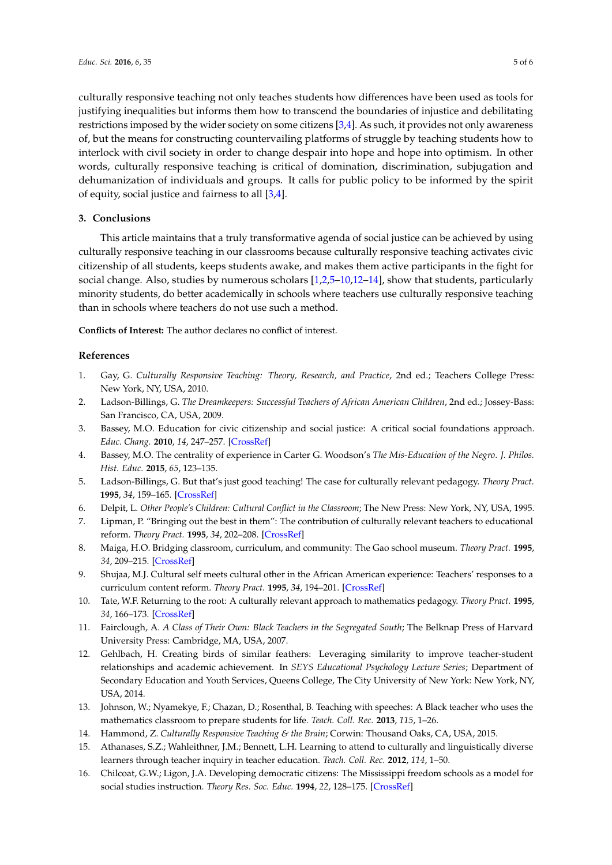culturally responsive teaching not only teaches students how differences have been used as tools for justifying inequalities but informs them how to transcend the boundaries of injustice and debilitating restrictions imposed by the wider society on some citizens [\[3,](#page-4-15)[4\]](#page-4-14). As such, it provides not only awareness of, but the means for constructing countervailing platforms of struggle by teaching students how to interlock with civil society in order to change despair into hope and hope into optimism. In other words, culturally responsive teaching is critical of domination, discrimination, subjugation and dehumanization of individuals and groups. It calls for public policy to be informed by the spirit of equity, social justice and fairness to all [\[3,](#page-4-15)[4\]](#page-4-14).

#### **3. Conclusions**

This article maintains that a truly transformative agenda of social justice can be achieved by using culturally responsive teaching in our classrooms because culturally responsive teaching activates civic citizenship of all students, keeps students awake, and makes them active participants in the fight for social change. Also, studies by numerous scholars [\[1](#page-4-0)[,2](#page-4-1)[,5–](#page-4-3)[10](#page-4-2)[,12](#page-4-6)[–14\]](#page-4-11), show that students, particularly minority students, do better academically in schools where teachers use culturally responsive teaching than in schools where teachers do not use such a method.

**Conflicts of Interest:** The author declares no conflict of interest.

### **References**

- <span id="page-4-0"></span>1. Gay, G. *Culturally Responsive Teaching: Theory, Research, and Practice*, 2nd ed.; Teachers College Press: New York, NY, USA, 2010.
- <span id="page-4-1"></span>2. Ladson-Billings, G. *The Dreamkeepers: Successful Teachers of African American Children*, 2nd ed.; Jossey-Bass: San Francisco, CA, USA, 2009.
- <span id="page-4-15"></span>3. Bassey, M.O. Education for civic citizenship and social justice: A critical social foundations approach. *Educ. Chang.* **2010**, *14*, 247–257. [\[CrossRef\]](http://dx.doi.org/10.1080/16823206.2010.522062)
- <span id="page-4-14"></span>4. Bassey, M.O. The centrality of experience in Carter G. Woodson's *The Mis-Education of the Negro*. *J. Philos. Hist. Educ.* **2015**, *65*, 123–135.
- <span id="page-4-3"></span>5. Ladson-Billings, G. But that's just good teaching! The case for culturally relevant pedagogy. *Theory Pract.* **1995**, *34*, 159–165. [\[CrossRef\]](http://dx.doi.org/10.1080/00405849509543675)
- <span id="page-4-8"></span>6. Delpit, L. *Other People's Children: Cultural Conflict in the Classroom*; The New Press: New York, NY, USA, 1995.
- <span id="page-4-4"></span>7. Lipman, P. "Bringing out the best in them": The contribution of culturally relevant teachers to educational reform. *Theory Pract.* **1995**, *34*, 202–208. [\[CrossRef\]](http://dx.doi.org/10.1080/00405849509543680)
- <span id="page-4-9"></span>8. Maiga, H.O. Bridging classroom, curriculum, and community: The Gao school museum. *Theory Pract.* **1995**, *34*, 209–215. [\[CrossRef\]](http://dx.doi.org/10.1080/00405849509543681)
- <span id="page-4-10"></span>9. Shujaa, M.J. Cultural self meets cultural other in the African American experience: Teachers' responses to a curriculum content reform. *Theory Pract.* **1995**, *34*, 194–201. [\[CrossRef\]](http://dx.doi.org/10.1080/00405849509543679)
- <span id="page-4-2"></span>10. Tate, W.F. Returning to the root: A culturally relevant approach to mathematics pedagogy. *Theory Pract.* **1995**, *34*, 166–173. [\[CrossRef\]](http://dx.doi.org/10.1080/00405849509543676)
- <span id="page-4-5"></span>11. Fairclough, A. *A Class of Their Own: Black Teachers in the Segregated South*; The Belknap Press of Harvard University Press: Cambridge, MA, USA, 2007.
- <span id="page-4-6"></span>12. Gehlbach, H. Creating birds of similar feathers: Leveraging similarity to improve teacher-student relationships and academic achievement. In *SEYS Educational Psychology Lecture Series*; Department of Secondary Education and Youth Services, Queens College, The City University of New York: New York, NY, USA, 2014.
- <span id="page-4-7"></span>13. Johnson, W.; Nyamekye, F.; Chazan, D.; Rosenthal, B. Teaching with speeches: A Black teacher who uses the mathematics classroom to prepare students for life. *Teach. Coll. Rec.* **2013**, *115*, 1–26.
- <span id="page-4-11"></span>14. Hammond, Z. *Culturally Responsive Teaching & the Brain*; Corwin: Thousand Oaks, CA, USA, 2015.
- <span id="page-4-12"></span>15. Athanases, S.Z.; Wahleithner, J.M.; Bennett, L.H. Learning to attend to culturally and linguistically diverse learners through teacher inquiry in teacher education. *Teach. Coll. Rec.* **2012**, *114*, 1–50.
- <span id="page-4-13"></span>16. Chilcoat, G.W.; Ligon, J.A. Developing democratic citizens: The Mississippi freedom schools as a model for social studies instruction. *Theory Res. Soc. Educ.* **1994**, *22*, 128–175. [\[CrossRef\]](http://dx.doi.org/10.1080/00933104.1994.10505719)